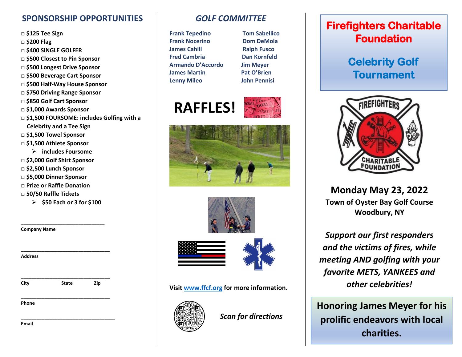#### **SPONSORSHIP OPPORTUNITIES**

- **□ \$125 Tee Sign**
- **□ \$200 Flag**
- **□ \$400 SINGLE GOLFER**
- **□ \$500 Closest to Pin Sponsor**
- **□ \$500 Longest Drive Sponsor**
- **□ \$500 Beverage Cart Sponsor**
- **□ \$500 Half-Way House Sponsor**
- **□ \$750 Driving Range Sponsor**
- **□ \$850 Golf Cart Sponsor**
- **□ \$1,000 Awards Sponsor**
- **□ \$1,500 FOURSOME: includes Golfing with a Celebrity and a Tee Sign**
- **□ \$1,500 Towel Sponsor**
- **□ \$1,500 Athlete Sponsor** 
	- **includes Foursome**
- **□ \$2,000 Golf Shirt Sponsor**
- **□ \$2,500 Lunch Sponsor**
- **□ \$5,000 Dinner Sponsor**
- **□ Prize or Raffle Donation**
- **□ 50/50 Raffle Tickets**
	- **\$50 Each or 3 for \$100**

**\_\_\_\_\_\_\_\_\_\_\_\_\_\_\_\_\_\_\_\_\_\_\_\_\_\_\_\_\_\_\_\_**

**\_\_\_\_\_\_\_\_\_\_\_\_\_\_\_\_\_\_\_\_\_\_\_\_\_\_\_\_\_\_\_\_\_\_**

**\_\_\_\_\_\_\_\_\_\_\_\_\_\_\_\_\_\_\_\_\_\_\_\_\_\_\_\_\_\_\_\_\_\_**

**\_\_\_\_\_\_\_\_\_\_\_\_\_\_\_\_\_\_\_\_\_\_\_\_\_\_\_\_\_\_\_\_\_\_**

**Company Name**

**Address**

| City | <b>State</b> | Zip |
|------|--------------|-----|
|      |              |     |

**Phone** 

**\_\_\_\_\_\_\_\_\_\_\_\_\_\_\_\_\_\_\_\_\_\_\_\_\_\_\_\_\_\_\_\_\_\_\_\_ Email** 

#### *GOLF COMMITTEE*

- **Frank Tepedino Tom Sabellico Frank Nocerino Dom DeMola James Cahill Malph Fusco Fred Cambria** Dan Kornfeld **Armando D'Accordo Jim Meyer James Martin Pat O'Brien Lenny Mileo John Pennisi**
	-

# **RAFFLES!**







**Visit [www.ffcf.org](http://www.ffcf.org/) for more information.**



*Scan for directions*

## **Firefighters Charitable Foundation**

## **Celebrity Golf Tournament**



**Monday May 23, 2022 Town of Oyster Bay Golf Course Woodbury, NY**

*Support our first responders and the victims of fires, while meeting AND golfing with your favorite METS, YANKEES and other celebrities!*

**Honoring James Meyer for his** prolific endeavors with local **charities.**